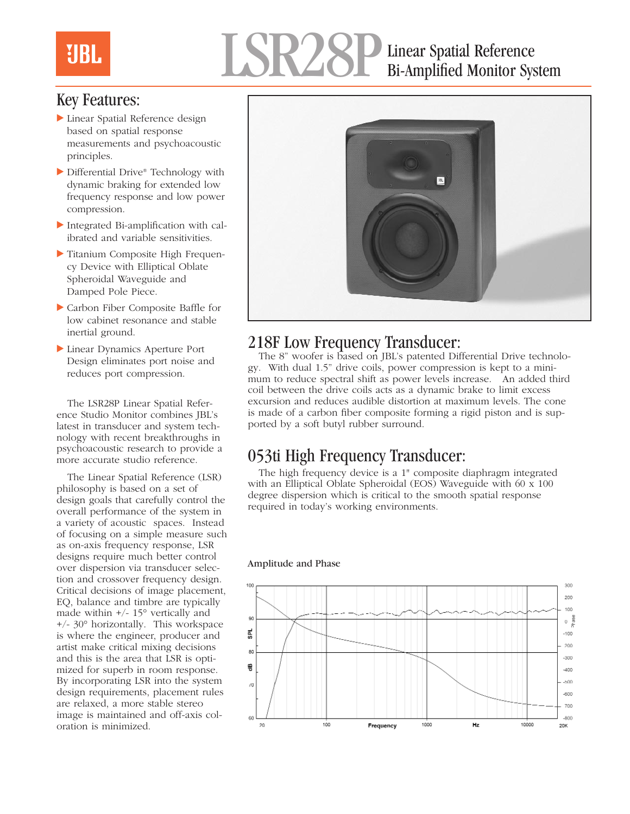### Linear Spatial Reference Bi-Amplified Monitor System

#### Key Features:

**UBL** 

- $\blacktriangleright$  Linear Spatial Reference design based on spatial response measurements and psychoacoustic principles.
- ▶ Differential Drive® Technology with dynamic braking for extended low frequency response and low power compression.
- $\blacktriangleright$  Integrated Bi-amplification with calibrated and variable sensitivities.
- $\blacktriangleright$  Titanium Composite High Frequency Device with Elliptical Oblate Spheroidal Waveguide and Damped Pole Piece.
- Carbon Fiber Composite Baffle for low cabinet resonance and stable inertial ground.
- Linear Dynamics Aperture Port Design eliminates port noise and reduces port compression.

The LSR28P Linear Spatial Reference Studio Monitor combines JBL's latest in transducer and system technology with recent breakthroughs in psychoacoustic research to provide a more accurate studio reference.

The Linear Spatial Reference (LSR) philosophy is based on a set of design goals that carefully control the overall performance of the system in a variety of acoustic spaces. Instead of focusing on a simple measure such as on-axis frequency response, LSR designs require much better control over dispersion via transducer selection and crossover frequency design. Critical decisions of image placement, EQ, balance and timbre are typically made within  $+/- 15^{\circ}$  vertically and +/- 30° horizontally. This workspace is where the engineer, producer and artist make critical mixing decisions and this is the area that LSR is optimized for superb in room response. By incorporating LSR into the system design requirements, placement rules are relaxed, a more stable stereo image is maintained and off-axis coloration is minimized.



#### 218F Low Frequency Transducer:

The 8" woofer is based on JBL's patented Differential Drive technology. With dual 1.5" drive coils, power compression is kept to a minimum to reduce spectral shift as power levels increase. An added third coil between the drive coils acts as a dynamic brake to limit excess excursion and reduces audible distortion at maximum levels. The cone is made of a carbon fiber composite forming a rigid piston and is supported by a soft butyl rubber surround.

### 053ti High Frequency Transducer:

The high frequency device is a 1" composite diaphragm integrated with an Elliptical Oblate Spheroidal (EOS) Waveguide with 60 x 100 degree dispersion which is critical to the smooth spatial response required in today's working environments.

#### Amplitude and Phase

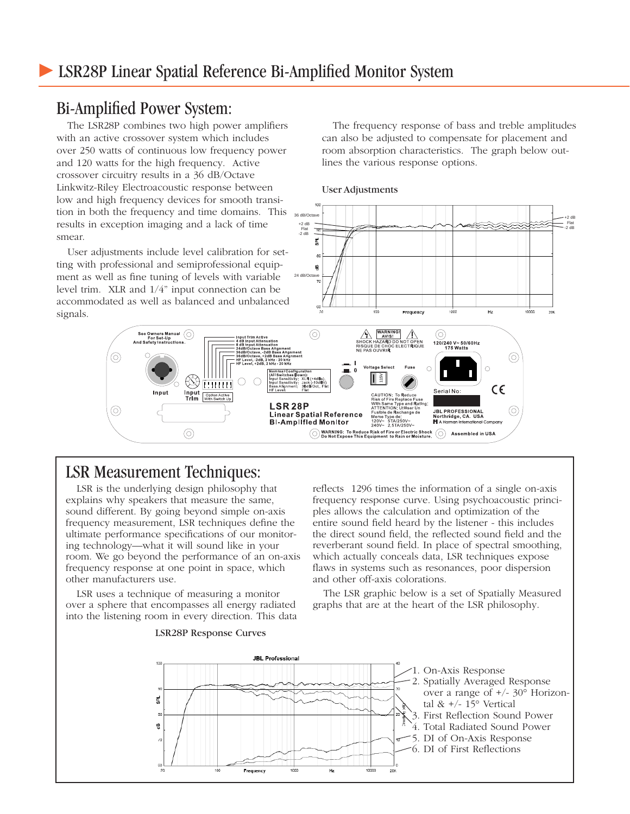#### Bi-Amplified Power System:

The LSR28P combines two high power amplifiers with an active crossover system which includes over 250 watts of continuous low frequency power and 120 watts for the high frequency. Active crossover circuitry results in a 36 dB/Octave Linkwitz-Riley Electroacoustic response between low and high frequency devices for smooth transition in both the frequency and time domains. This results in exception imaging and a lack of time smear.

User adjustments include level calibration for setting with professional and semiprofessional equipment as well as fine tuning of levels with variable level trim. XLR and 1/4" input connection can be accommodated as well as balanced and unbalanced signals.

The frequency response of bass and treble amplitudes can also be adjusted to compensate for placement and room absorption characteristics. The graph below outlines the various response options.





### LSR Measurement Techniques:

 $\circledcirc$ 

⊚

LSR is the underlying design philosophy that explains why speakers that measure the same, sound different. By going beyond simple on-axis frequency measurement, LSR techniques define the ultimate performance specifications of our monitoring technology—what it will sound like in your room. We go beyond the performance of an on-axis frequency response at one point in space, which other manufacturers use.

LSR uses a technique of measuring a monitor over a sphere that encompasses all energy radiated into the listening room in every direction. This data reflects 1296 times the information of a single on-axis frequency response curve. Using psychoacoustic principles allows the calculation and optimization of the entire sound field heard by the listener - this includes the direct sound field, the reflected sound field and the reverberant sound field. In place of spectral smoothing, which actually conceals data, LSR techniques expose flaws in systems such as resonances, poor dispersion and other off-axis colorations.

The LSR graphic below is a set of Spatially Measured graphs that are at the heart of the LSR philosophy.



LSR28P Response Curves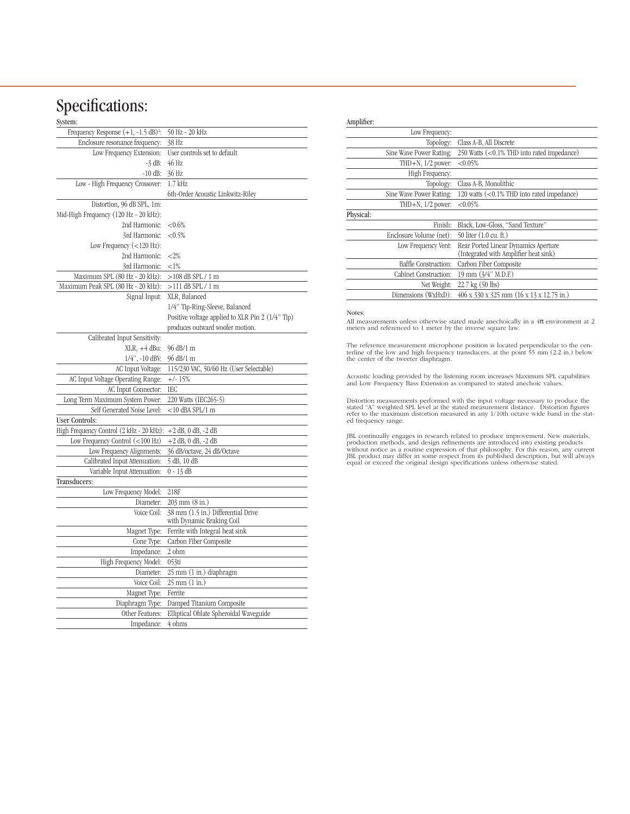# Specifications:

#### System:

| system:                                           |                                                                 |
|---------------------------------------------------|-----------------------------------------------------------------|
| Frequency Response $(+1, -1.5$ dB) <sup>2</sup> : | 50 Hz - 20 kHz                                                  |
| Enclosure resonance frequency:                    | 38 Hz                                                           |
| Low Frequency Extension:                          | User controls set to default                                    |
| $-3$ dB:                                          | 46 Hz                                                           |
| $-10$ dB:                                         | 36 Hz                                                           |
| Low - High Frequency Crossover:                   | $1.7$ kHz                                                       |
|                                                   | 6th-Order Acoustic Linkwitz-Riley                               |
| Distortion, 96 dB SPL, 1m:                        |                                                                 |
| Mid-High Frequency (120 Hz - 20 kHz):             |                                                                 |
| 2nd Harmonic:                                     | ${<}0.6\%$                                                      |
| 3rd Harmonic:                                     | ${<}0.5%$                                                       |
| Low Frequency $(<120$ Hz):                        |                                                                 |
| 2nd Harmonic:                                     | ${<}2\%$                                                        |
| 3rd Harmonic:                                     | ${<}1\%$                                                        |
| Maximum SPL (80 Hz - 20 kHz):                     | >108 dB SPL / 1 m                                               |
| Maximum Peak SPL (80 Hz - 20 kHz):                | $>111$ dB SPL / 1 m                                             |
| Signal Input:                                     | XLR, Balanced                                                   |
|                                                   | 1/4" Tip-Ring-Sleeve, Balanced                                  |
|                                                   | Positive voltage applied to XLR Pin 2 (1/4" Tip)                |
|                                                   | produces outward woofer motion.                                 |
| Calibrated Input Sensitivity:                     |                                                                 |
| $XLR$ , $+4 dBu$ :                                | 96 dB/1 m                                                       |
| $1/4$ ", $-10$ dBV:                               | 96 dB/1 m                                                       |
| AC Input Voltage:                                 | 115/230 VAC, 50/60 Hz (User Selectable)                         |
| AC Input Voltage Operating Range:                 | $+/- 15%$                                                       |
| AC Input Connector:                               | <b>IEC</b>                                                      |
| Long Term Maximum System Power:                   | 220 Watts (IEC265-5)                                            |
| Self Generated Noise Level:                       | $<$ 10 dBA SPL/1 m                                              |
| <b>User Controls:</b>                             |                                                                 |
| High Frequency Control (2 kHz - 20 kHz):          | $+2$ dB, 0 dB, $-2$ dB                                          |
| Low Frequency Control $(<100$ Hz)                 | $+2$ dB, 0 dB, $-2$ dB                                          |
| Low Frequency Alignments:                         | 36 dB/octave, 24 dB/Octave                                      |
| Calibrated Input Attenuation:                     | 5 dB, 10 dB                                                     |
| Variable Input Attenuation:                       | 0 - 13 dB                                                       |
| Transducers:                                      |                                                                 |
| Low Frequency Model:                              | 218F                                                            |
| Diameter:                                         | 203 mm (8 in.)                                                  |
| Voice Coil:                                       | 38 mm (1.5 in.) Differential Drive<br>with Dynamic Braking Coil |
| Magnet Type:                                      | Ferrite with Integral heat sink                                 |
| Cone Type:                                        | Carbon Fiber Composite                                          |
| Impedance:                                        | 2 ohm                                                           |
| High Frequency Model:                             | $053$ ti                                                        |
| Diameter:                                         | 25 mm (1 in.) diaphragm                                         |
| Voice Coil:                                       | $25 \text{ mm} (1 \text{ in.})$                                 |
| Magnet Type:                                      | Ferrite                                                         |
| Diaphragm Type:                                   | Damped Titanium Composite                                       |
| Other Features:                                   | Elliptical Oblate Spheroidal Waveguide                          |
| Impedance:                                        | 4 ohms                                                          |

#### Amplifier:

|           | Low Frequency:              |                                                                               |
|-----------|-----------------------------|-------------------------------------------------------------------------------|
|           | Topology:                   | Class A-B, All Discrete                                                       |
|           | Sine Wave Power Rating:     | 250 Watts (<0.1% THD into rated impedance)                                    |
|           | THD $+N$ , $1/2$ power:     | $< 0.05\%$                                                                    |
|           | High Frequency:             |                                                                               |
|           | Topology:                   | Class A-B, Monolithic                                                         |
|           | Sine Wave Power Rating:     | 120 watts (<0.1% THD into rated impedance)                                    |
|           | THD $+N$ , $1/2$ power:     | < 0.05%                                                                       |
| Physical: |                             |                                                                               |
|           | Finish:                     | Black, Low-Gloss, "Sand Texture"                                              |
|           | Enclosure Volume (net):     | 50 liter (1.0 cu. ft.)                                                        |
|           | Low Frequency Vent:         | Rear Ported Linear Dynamics Aperture<br>(Integrated with Amplifier heat sink) |
|           | <b>Baffle Construction:</b> | Carbon Fiber Composite                                                        |
|           | Cabinet Construction:       | 19 mm (3/4" M.D.F.)                                                           |
|           | Net Weight:                 | $22.7 \text{ kg} (50 \text{ lbs})$                                            |
|           | Dimensions (WxHxD):         | $406 \times 330 \times 325$ mm $(16 \times 13 \times 12.75$ in.)              |
|           |                             |                                                                               |

#### Notes:

All measurements unless otherwise stated made anechoically in a 4π environment at 2 meters and referenced to 1 meter by the inverse square law.

The reference measurement microphone position is located perpendicular to the cen-terline of the low and high frequency transducers, at the point 55 mm (2.2 in.) below the center of the tweeter diaphragm.

Acoustic loading provided by the listening room increases Maximum SPL capabilities and Low Frequency Bass Extension as compared to stated anechoic values.

Distortion measurements performed with the input voltage necessary to produce the stated "A" weighted SPL level at the stated measurement distance. Distortion figures refer to the maximum distortion measured in any 1/10th

JBL continually engages in research related to produce improvement. New materials, production methods, and design refinements are introduced into existing products without notice as a routine expression of that philosophy.